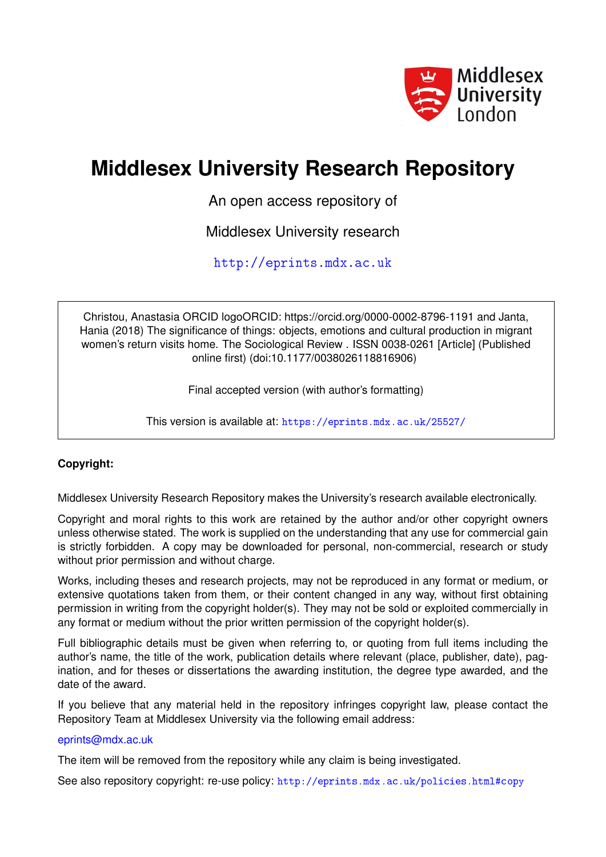

# **Middlesex University Research Repository**

An open access repository of

Middlesex University research

<http://eprints.mdx.ac.uk>

Christou, Anastasia ORCID logoORCID: https://orcid.org/0000-0002-8796-1191 and Janta, Hania (2018) The significance of things: objects, emotions and cultural production in migrant women's return visits home. The Sociological Review . ISSN 0038-0261 [Article] (Published online first) (doi:10.1177/0038026118816906)

Final accepted version (with author's formatting)

This version is available at: <https://eprints.mdx.ac.uk/25527/>

### **Copyright:**

Middlesex University Research Repository makes the University's research available electronically.

Copyright and moral rights to this work are retained by the author and/or other copyright owners unless otherwise stated. The work is supplied on the understanding that any use for commercial gain is strictly forbidden. A copy may be downloaded for personal, non-commercial, research or study without prior permission and without charge.

Works, including theses and research projects, may not be reproduced in any format or medium, or extensive quotations taken from them, or their content changed in any way, without first obtaining permission in writing from the copyright holder(s). They may not be sold or exploited commercially in any format or medium without the prior written permission of the copyright holder(s).

Full bibliographic details must be given when referring to, or quoting from full items including the author's name, the title of the work, publication details where relevant (place, publisher, date), pagination, and for theses or dissertations the awarding institution, the degree type awarded, and the date of the award.

If you believe that any material held in the repository infringes copyright law, please contact the Repository Team at Middlesex University via the following email address:

#### [eprints@mdx.ac.uk](mailto:eprints@mdx.ac.uk)

The item will be removed from the repository while any claim is being investigated.

See also repository copyright: re-use policy: <http://eprints.mdx.ac.uk/policies.html#copy>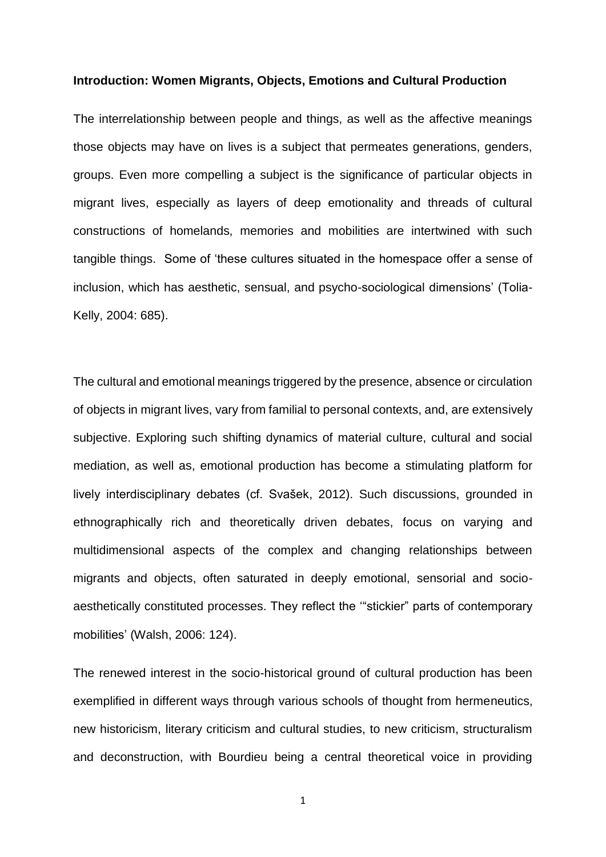#### **Introduction: Women Migrants, Objects, Emotions and Cultural Production**

The interrelationship between people and things, as well as the affective meanings those objects may have on lives is a subject that permeates generations, genders, groups. Even more compelling a subject is the significance of particular objects in migrant lives, especially as layers of deep emotionality and threads of cultural constructions of homelands, memories and mobilities are intertwined with such tangible things. Some of 'these cultures situated in the homespace offer a sense of inclusion, which has aesthetic, sensual, and psycho-sociological dimensions' (Tolia-Kelly, 2004: 685).

The cultural and emotional meanings triggered by the presence, absence or circulation of objects in migrant lives, vary from familial to personal contexts, and, are extensively subjective. Exploring such shifting dynamics of material culture, cultural and social mediation, as well as, emotional production has become a stimulating platform for lively interdisciplinary debates (cf. Svašek, 2012). Such discussions, grounded in ethnographically rich and theoretically driven debates, focus on varying and multidimensional aspects of the complex and changing relationships between migrants and objects, often saturated in deeply emotional, sensorial and socioaesthetically constituted processes. They reflect the '"stickier" parts of contemporary mobilities' (Walsh, 2006: 124).

The renewed interest in the socio-historical ground of cultural production has been exemplified in different ways through various schools of thought from hermeneutics, new historicism, literary criticism and cultural studies, to new criticism, structuralism and deconstruction, with Bourdieu being a central theoretical voice in providing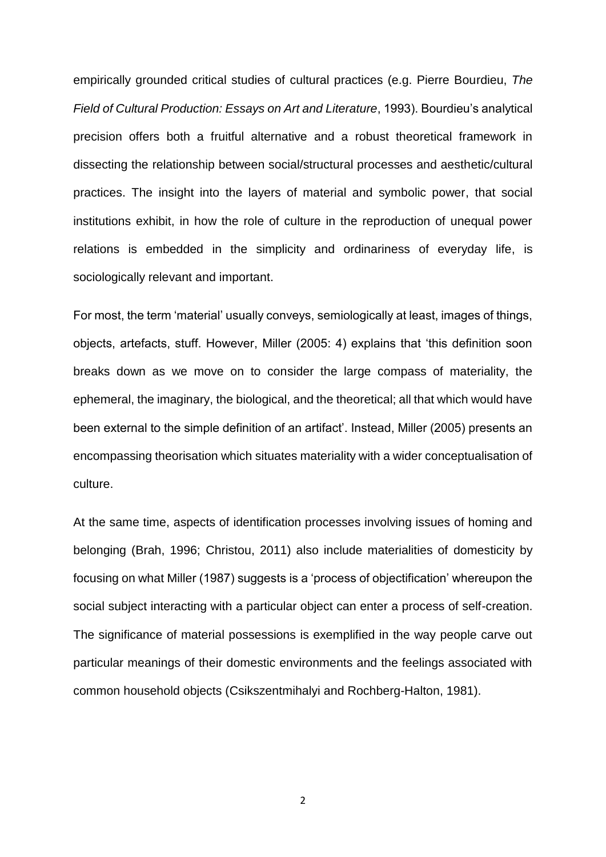empirically grounded critical studies of cultural practices (e.g. Pierre Bourdieu, *The Field of Cultural Production: Essays on Art and Literature*, 1993). Bourdieu's analytical precision offers both a fruitful alternative and a robust theoretical framework in dissecting the relationship between social/structural processes and aesthetic/cultural practices. The insight into the layers of material and symbolic power, that social institutions exhibit, in how the role of culture in the reproduction of unequal power relations is embedded in the simplicity and ordinariness of everyday life, is sociologically relevant and important.

For most, the term 'material' usually conveys, semiologically at least, images of things, objects, artefacts, stuff. However, Miller (2005: 4) explains that 'this definition soon breaks down as we move on to consider the large compass of materiality, the ephemeral, the imaginary, the biological, and the theoretical; all that which would have been external to the simple definition of an artifact'. Instead, Miller (2005) presents an encompassing theorisation which situates materiality with a wider conceptualisation of culture.

At the same time, aspects of identification processes involving issues of homing and belonging (Brah, 1996; Christou, 2011) also include materialities of domesticity by focusing on what Miller (1987) suggests is a 'process of objectification' whereupon the social subject interacting with a particular object can enter a process of self-creation. The significance of material possessions is exemplified in the way people carve out particular meanings of their domestic environments and the feelings associated with common household objects (Csikszentmihalyi and Rochberg*-*Halton, 1981).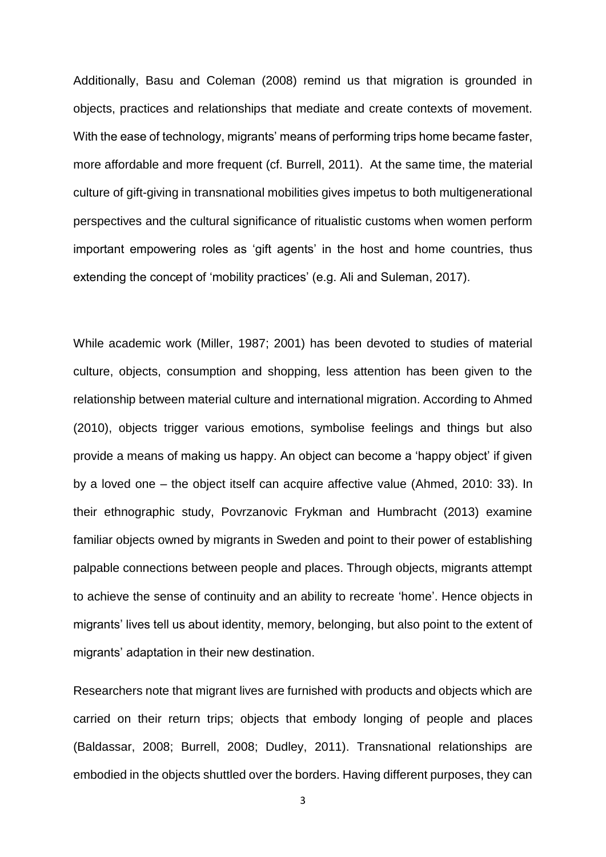Additionally, Basu and Coleman (2008) remind us that migration is grounded in objects, practices and relationships that mediate and create contexts of movement. With the ease of technology, migrants' means of performing trips home became faster, more affordable and more frequent (cf. Burrell, 2011). At the same time, the material culture of gift-giving in transnational mobilities gives impetus to both multigenerational perspectives and the cultural significance of ritualistic customs when women perform important empowering roles as 'gift agents' in the host and home countries, thus extending the concept of 'mobility practices' (e.g. Ali and Suleman, 2017).

While academic work (Miller, 1987; 2001) has been devoted to studies of material culture, objects, consumption and shopping, less attention has been given to the relationship between material culture and international migration. According to Ahmed (2010), objects trigger various emotions, symbolise feelings and things but also provide a means of making us happy. An object can become a 'happy object' if given by a loved one – the object itself can acquire affective value (Ahmed, 2010: 33). In their ethnographic study, Povrzanovic Frykman and Humbracht (2013) examine familiar objects owned by migrants in Sweden and point to their power of establishing palpable connections between people and places. Through objects, migrants attempt to achieve the sense of continuity and an ability to recreate 'home'. Hence objects in migrants' lives tell us about identity, memory, belonging, but also point to the extent of migrants' adaptation in their new destination.

Researchers note that migrant lives are furnished with products and objects which are carried on their return trips; objects that embody longing of people and places (Baldassar, 2008; Burrell, 2008; Dudley, 2011). Transnational relationships are embodied in the objects shuttled over the borders. Having different purposes, they can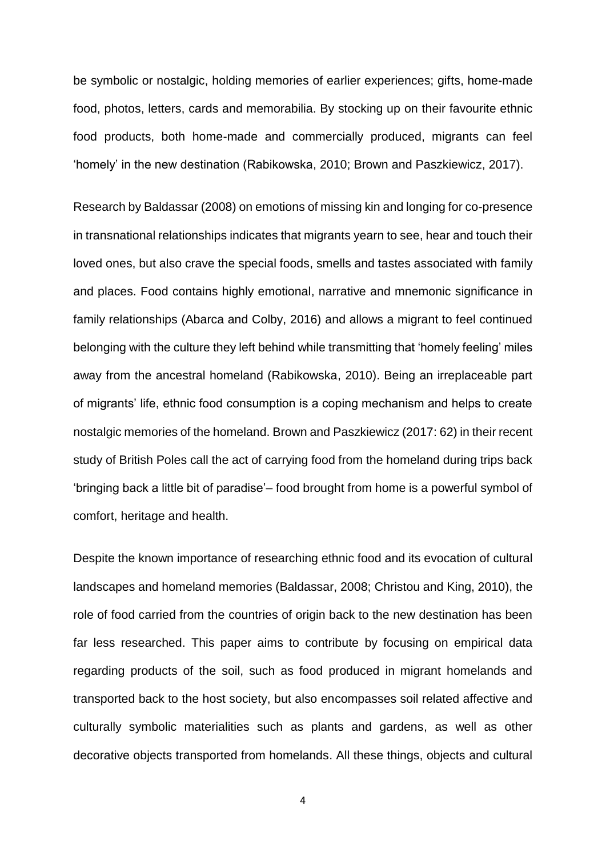be symbolic or nostalgic, holding memories of earlier experiences; gifts, home-made food, photos, letters, cards and memorabilia. By stocking up on their favourite ethnic food products, both home-made and commercially produced, migrants can feel 'homely' in the new destination (Rabikowska, 2010; Brown and Paszkiewicz, 2017).

Research by Baldassar (2008) on emotions of missing kin and longing for co-presence in transnational relationships indicates that migrants yearn to see, hear and touch their loved ones, but also crave the special foods, smells and tastes associated with family and places. Food contains highly emotional, narrative and mnemonic significance in family relationships (Abarca and Colby, 2016) and allows a migrant to feel continued belonging with the culture they left behind while transmitting that 'homely feeling' miles away from the ancestral homeland (Rabikowska, 2010). Being an irreplaceable part of migrants' life, ethnic food consumption is a coping mechanism and helps to create nostalgic memories of the homeland. Brown and Paszkiewicz (2017: 62) in their recent study of British Poles call the act of carrying food from the homeland during trips back 'bringing back a little bit of paradise'– food brought from home is a powerful symbol of comfort, heritage and health.

Despite the known importance of researching ethnic food and its evocation of cultural landscapes and homeland memories (Baldassar, 2008; Christou and King, 2010), the role of food carried from the countries of origin back to the new destination has been far less researched. This paper aims to contribute by focusing on empirical data regarding products of the soil, such as food produced in migrant homelands and transported back to the host society, but also encompasses soil related affective and culturally symbolic materialities such as plants and gardens, as well as other decorative objects transported from homelands. All these things, objects and cultural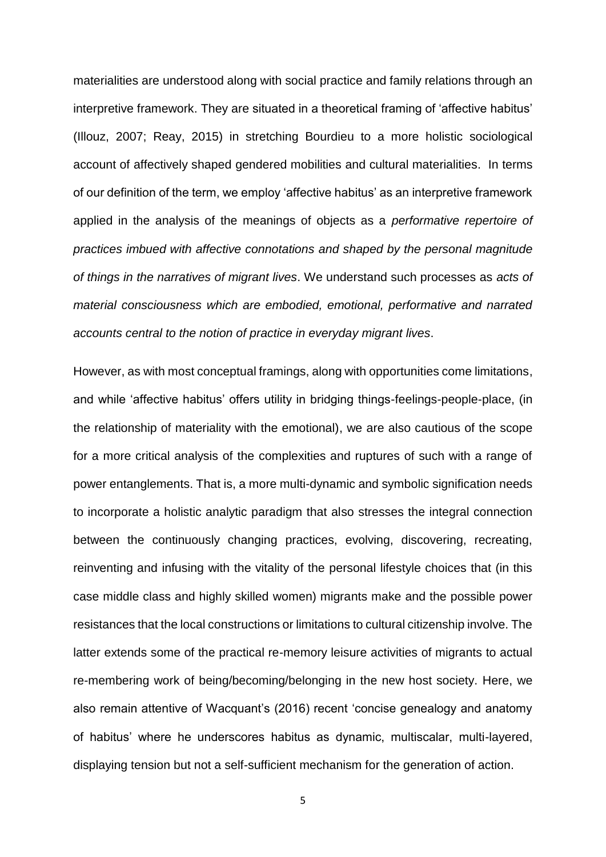materialities are understood along with social practice and family relations through an interpretive framework. They are situated in a theoretical framing of 'affective habitus' (Illouz, 2007; Reay, 2015) in stretching Bourdieu to a more holistic sociological account of affectively shaped gendered mobilities and cultural materialities. In terms of our definition of the term, we employ 'affective habitus' as an interpretive framework applied in the analysis of the meanings of objects as a *performative repertoire of practices imbued with affective connotations and shaped by the personal magnitude of things in the narratives of migrant lives*. We understand such processes as *acts of material consciousness which are embodied, emotional, performative and narrated accounts central to the notion of practice in everyday migrant lives*.

However, as with most conceptual framings, along with opportunities come limitations, and while 'affective habitus' offers utility in bridging things-feelings-people-place, (in the relationship of materiality with the emotional), we are also cautious of the scope for a more critical analysis of the complexities and ruptures of such with a range of power entanglements. That is, a more multi-dynamic and symbolic signification needs to incorporate a holistic analytic paradigm that also stresses the integral connection between the continuously changing practices, evolving, discovering, recreating, reinventing and infusing with the vitality of the personal lifestyle choices that (in this case middle class and highly skilled women) migrants make and the possible power resistances that the local constructions or limitations to cultural citizenship involve. The latter extends some of the practical re-memory leisure activities of migrants to actual re-membering work of being/becoming/belonging in the new host society. Here, we also remain attentive of Wacquant's (2016) recent 'concise genealogy and anatomy of habitus' where he underscores habitus as dynamic, multiscalar, multi-layered, displaying tension but not a self-sufficient mechanism for the generation of action.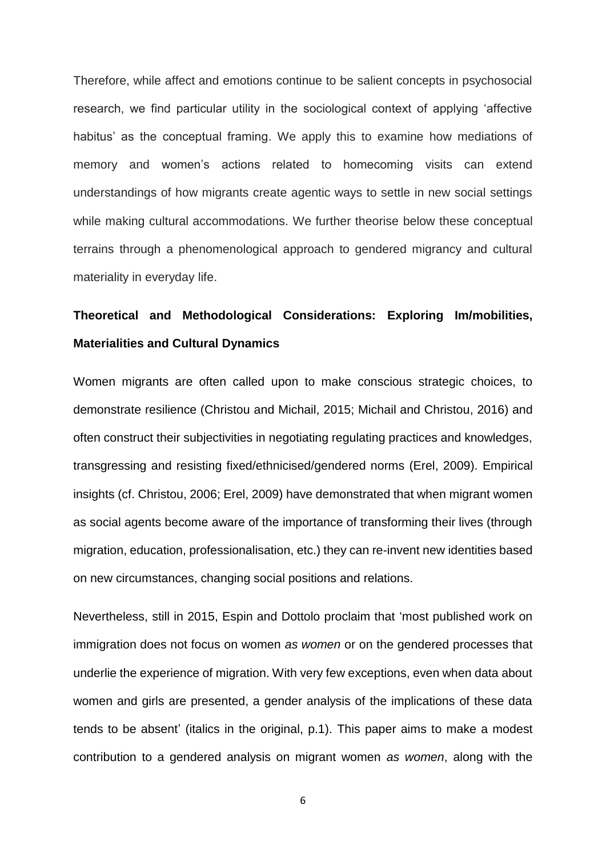Therefore, while affect and emotions continue to be salient concepts in psychosocial research, we find particular utility in the sociological context of applying 'affective habitus' as the conceptual framing. We apply this to examine how mediations of memory and women's actions related to homecoming visits can extend understandings of how migrants create agentic ways to settle in new social settings while making cultural accommodations. We further theorise below these conceptual terrains through a phenomenological approach to gendered migrancy and cultural materiality in everyday life.

### **Theoretical and Methodological Considerations: Exploring Im/mobilities, Materialities and Cultural Dynamics**

Women migrants are often called upon to make conscious strategic choices, to demonstrate resilience (Christou and Michail, 2015; Michail and Christou, 2016) and often construct their subjectivities in negotiating regulating practices and knowledges, transgressing and resisting fixed/ethnicised/gendered norms (Erel, 2009). Empirical insights (cf. Christou, 2006; Erel, 2009) have demonstrated that when migrant women as social agents become aware of the importance of transforming their lives (through migration, education, professionalisation, etc.) they can re-invent new identities based on new circumstances, changing social positions and relations.

Nevertheless, still in 2015, Espin and Dottolo proclaim that 'most published work on immigration does not focus on women *as women* or on the gendered processes that underlie the experience of migration. With very few exceptions, even when data about women and girls are presented, a gender analysis of the implications of these data tends to be absent' (italics in the original, p.1). This paper aims to make a modest contribution to a gendered analysis on migrant women *as women*, along with the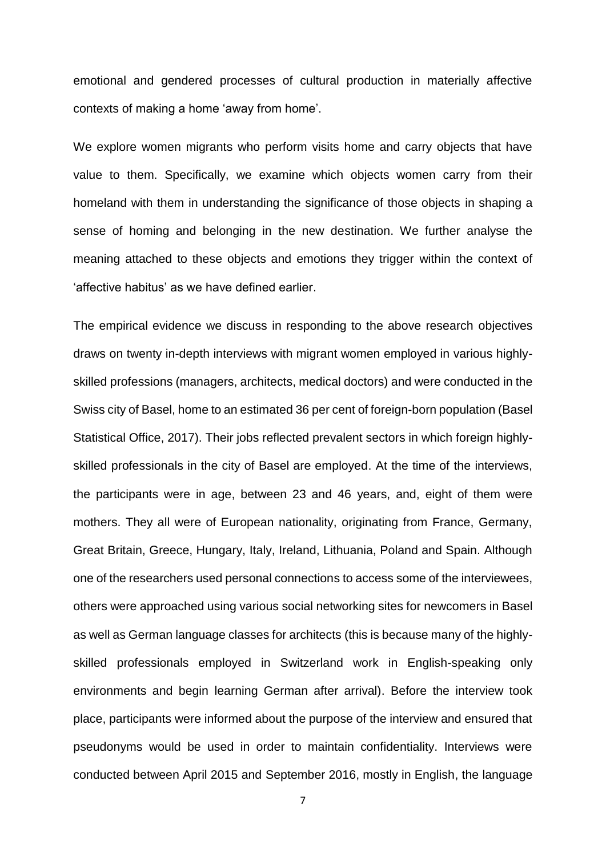emotional and gendered processes of cultural production in materially affective contexts of making a home 'away from home'.

We explore women migrants who perform visits home and carry objects that have value to them. Specifically, we examine which objects women carry from their homeland with them in understanding the significance of those objects in shaping a sense of homing and belonging in the new destination. We further analyse the meaning attached to these objects and emotions they trigger within the context of 'affective habitus' as we have defined earlier.

The empirical evidence we discuss in responding to the above research objectives draws on twenty in-depth interviews with migrant women employed in various highlyskilled professions (managers, architects, medical doctors) and were conducted in the Swiss city of Basel, home to an estimated 36 per cent of foreign-born population (Basel Statistical Office, 2017). Their jobs reflected prevalent sectors in which foreign highlyskilled professionals in the city of Basel are employed. At the time of the interviews, the participants were in age, between 23 and 46 years, and, eight of them were mothers. They all were of European nationality, originating from France, Germany, Great Britain, Greece, Hungary, Italy, Ireland, Lithuania, Poland and Spain. Although one of the researchers used personal connections to access some of the interviewees, others were approached using various social networking sites for newcomers in Basel as well as German language classes for architects (this is because many of the highlyskilled professionals employed in Switzerland work in English-speaking only environments and begin learning German after arrival). Before the interview took place, participants were informed about the purpose of the interview and ensured that pseudonyms would be used in order to maintain confidentiality. Interviews were conducted between April 2015 and September 2016, mostly in English, the language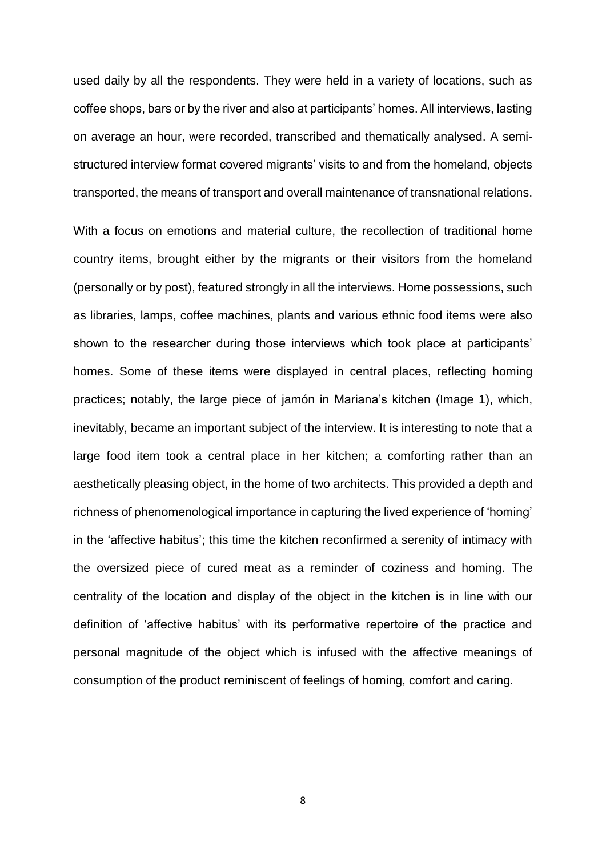used daily by all the respondents. They were held in a variety of locations, such as coffee shops, bars or by the river and also at participants' homes. All interviews, lasting on average an hour, were recorded, transcribed and thematically analysed. A semistructured interview format covered migrants' visits to and from the homeland, objects transported, the means of transport and overall maintenance of transnational relations.

With a focus on emotions and material culture, the recollection of traditional home country items, brought either by the migrants or their visitors from the homeland (personally or by post), featured strongly in all the interviews. Home possessions, such as libraries, lamps, coffee machines, plants and various ethnic food items were also shown to the researcher during those interviews which took place at participants' homes. Some of these items were displayed in central places, reflecting homing practices; notably, the large piece of jamón in Mariana's kitchen (Image 1), which, inevitably, became an important subject of the interview. It is interesting to note that a large food item took a central place in her kitchen; a comforting rather than an aesthetically pleasing object, in the home of two architects. This provided a depth and richness of phenomenological importance in capturing the lived experience of 'homing' in the 'affective habitus'; this time the kitchen reconfirmed a serenity of intimacy with the oversized piece of cured meat as a reminder of coziness and homing. The centrality of the location and display of the object in the kitchen is in line with our definition of 'affective habitus' with its performative repertoire of the practice and personal magnitude of the object which is infused with the affective meanings of consumption of the product reminiscent of feelings of homing, comfort and caring.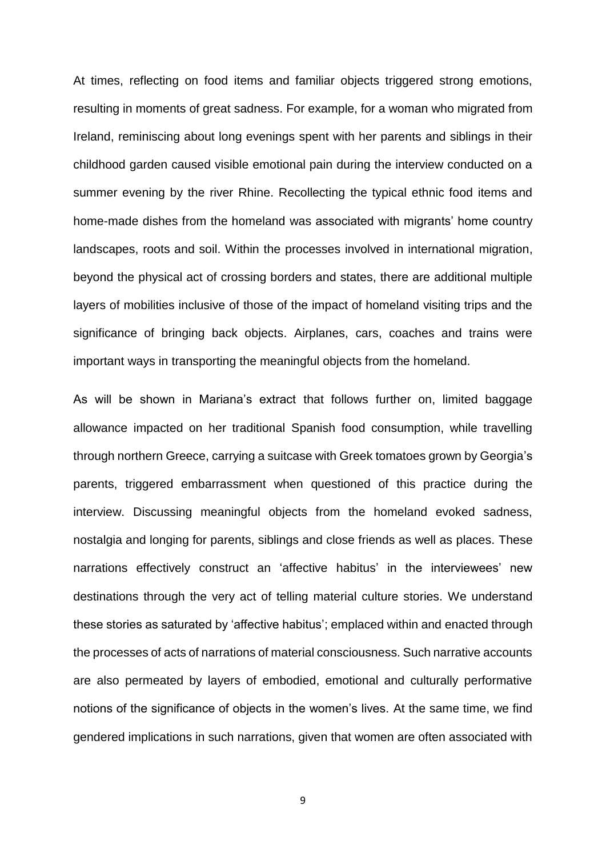At times, reflecting on food items and familiar objects triggered strong emotions, resulting in moments of great sadness. For example, for a woman who migrated from Ireland, reminiscing about long evenings spent with her parents and siblings in their childhood garden caused visible emotional pain during the interview conducted on a summer evening by the river Rhine. Recollecting the typical ethnic food items and home-made dishes from the homeland was associated with migrants' home country landscapes, roots and soil. Within the processes involved in international migration, beyond the physical act of crossing borders and states, there are additional multiple layers of mobilities inclusive of those of the impact of homeland visiting trips and the significance of bringing back objects. Airplanes, cars, coaches and trains were important ways in transporting the meaningful objects from the homeland.

As will be shown in Mariana's extract that follows further on, limited baggage allowance impacted on her traditional Spanish food consumption, while travelling through northern Greece, carrying a suitcase with Greek tomatoes grown by Georgia's parents, triggered embarrassment when questioned of this practice during the interview. Discussing meaningful objects from the homeland evoked sadness, nostalgia and longing for parents, siblings and close friends as well as places. These narrations effectively construct an 'affective habitus' in the interviewees' new destinations through the very act of telling material culture stories. We understand these stories as saturated by 'affective habitus'; emplaced within and enacted through the processes of acts of narrations of material consciousness. Such narrative accounts are also permeated by layers of embodied, emotional and culturally performative notions of the significance of objects in the women's lives. At the same time, we find gendered implications in such narrations, given that women are often associated with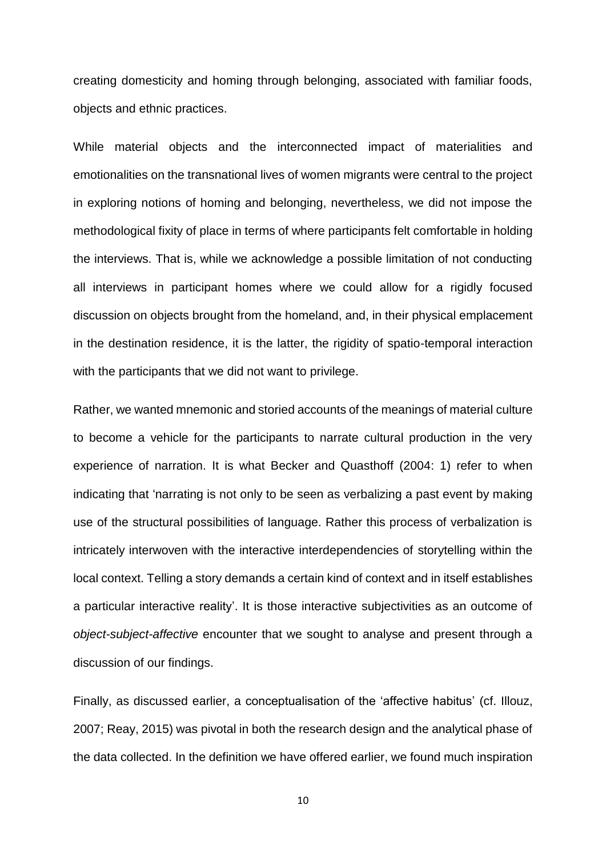creating domesticity and homing through belonging, associated with familiar foods, objects and ethnic practices.

While material objects and the interconnected impact of materialities and emotionalities on the transnational lives of women migrants were central to the project in exploring notions of homing and belonging, nevertheless, we did not impose the methodological fixity of place in terms of where participants felt comfortable in holding the interviews. That is, while we acknowledge a possible limitation of not conducting all interviews in participant homes where we could allow for a rigidly focused discussion on objects brought from the homeland, and, in their physical emplacement in the destination residence, it is the latter, the rigidity of spatio-temporal interaction with the participants that we did not want to privilege.

Rather, we wanted mnemonic and storied accounts of the meanings of material culture to become a vehicle for the participants to narrate cultural production in the very experience of narration. It is what Becker and Quasthoff (2004: 1) refer to when indicating that 'narrating is not only to be seen as verbalizing a past event by making use of the structural possibilities of language. Rather this process of verbalization is intricately interwoven with the interactive interdependencies of storytelling within the local context. Telling a story demands a certain kind of context and in itself establishes a particular interactive reality'. It is those interactive subjectivities as an outcome of *object-subject-affective* encounter that we sought to analyse and present through a discussion of our findings.

Finally, as discussed earlier, a conceptualisation of the 'affective habitus' (cf. Illouz, 2007; Reay, 2015) was pivotal in both the research design and the analytical phase of the data collected. In the definition we have offered earlier, we found much inspiration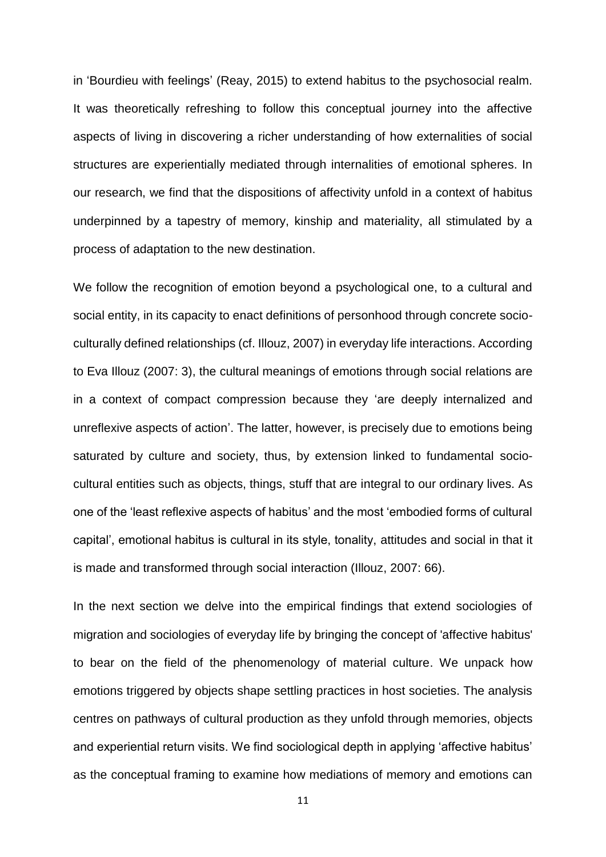in 'Bourdieu with feelings' (Reay, 2015) to extend habitus to the psychosocial realm. It was theoretically refreshing to follow this conceptual journey into the affective aspects of living in discovering a richer understanding of how externalities of social structures are experientially mediated through internalities of emotional spheres. In our research, we find that the dispositions of affectivity unfold in a context of habitus underpinned by a tapestry of memory, kinship and materiality, all stimulated by a process of adaptation to the new destination.

We follow the recognition of emotion beyond a psychological one, to a cultural and social entity, in its capacity to enact definitions of personhood through concrete socioculturally defined relationships (cf. Illouz, 2007) in everyday life interactions. According to Eva Illouz (2007: 3), the cultural meanings of emotions through social relations are in a context of compact compression because they 'are deeply internalized and unreflexive aspects of action'. The latter, however, is precisely due to emotions being saturated by culture and society, thus, by extension linked to fundamental sociocultural entities such as objects, things, stuff that are integral to our ordinary lives. As one of the 'least reflexive aspects of habitus' and the most 'embodied forms of cultural capital', emotional habitus is cultural in its style, tonality, attitudes and social in that it is made and transformed through social interaction (Illouz, 2007: 66).

In the next section we delve into the empirical findings that extend sociologies of migration and sociologies of everyday life by bringing the concept of 'affective habitus' to bear on the field of the phenomenology of material culture. We unpack how emotions triggered by objects shape settling practices in host societies. The analysis centres on pathways of cultural production as they unfold through memories, objects and experiential return visits. We find sociological depth in applying 'affective habitus' as the conceptual framing to examine how mediations of memory and emotions can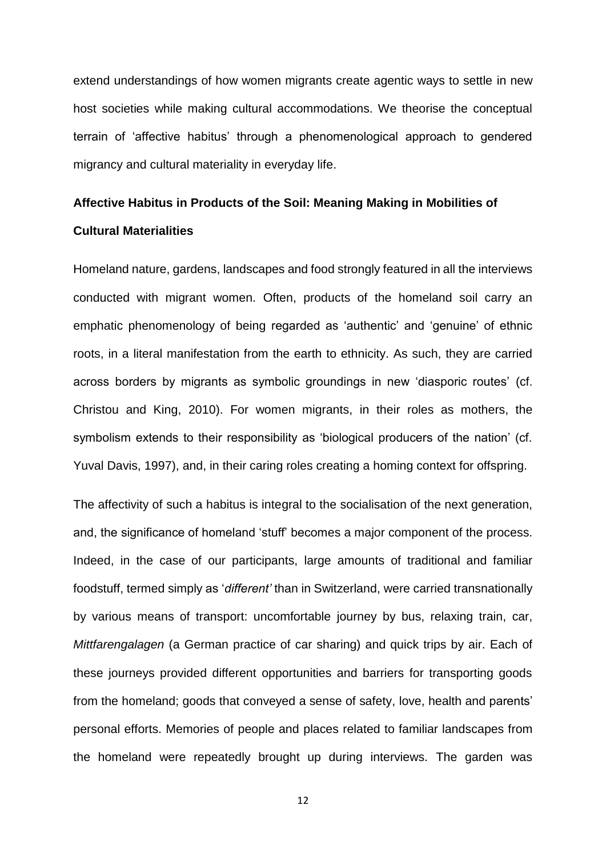extend understandings of how women migrants create agentic ways to settle in new host societies while making cultural accommodations. We theorise the conceptual terrain of 'affective habitus' through a phenomenological approach to gendered migrancy and cultural materiality in everyday life.

## **Affective Habitus in Products of the Soil: Meaning Making in Mobilities of Cultural Materialities**

Homeland nature, gardens, landscapes and food strongly featured in all the interviews conducted with migrant women. Often, products of the homeland soil carry an emphatic phenomenology of being regarded as 'authentic' and 'genuine' of ethnic roots, in a literal manifestation from the earth to ethnicity. As such, they are carried across borders by migrants as symbolic groundings in new 'diasporic routes' (cf. Christou and King, 2010). For women migrants, in their roles as mothers, the symbolism extends to their responsibility as 'biological producers of the nation' (cf. Yuval Davis, 1997), and, in their caring roles creating a homing context for offspring.

The affectivity of such a habitus is integral to the socialisation of the next generation, and, the significance of homeland 'stuff' becomes a major component of the process. Indeed, in the case of our participants, large amounts of traditional and familiar foodstuff, termed simply as '*different'* than in Switzerland, were carried transnationally by various means of transport: uncomfortable journey by bus, relaxing train, car, *Mittfarengalagen* (a German practice of car sharing) and quick trips by air. Each of these journeys provided different opportunities and barriers for transporting goods from the homeland; goods that conveyed a sense of safety, love, health and parents' personal efforts. Memories of people and places related to familiar landscapes from the homeland were repeatedly brought up during interviews. The garden was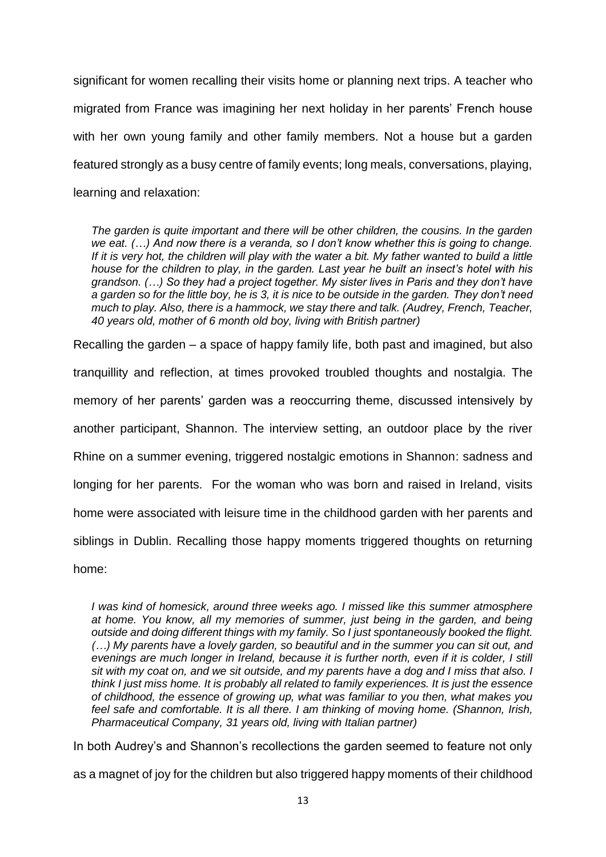significant for women recalling their visits home or planning next trips. A teacher who migrated from France was imagining her next holiday in her parents' French house with her own young family and other family members. Not a house but a garden featured strongly as a busy centre of family events; long meals, conversations, playing, learning and relaxation:

*The garden is quite important and there will be other children, the cousins. In the garden we eat. (…) And now there is a veranda, so I don't know whether this is going to change. If it is very hot, the children will play with the water a bit. My father wanted to build a little house for the children to play, in the garden. Last year he built an insect's hotel with his grandson. (…) So they had a project together. My sister lives in Paris and they don't have a garden so for the little boy, he is 3, it is nice to be outside in the garden. They don't need much to play. Also, there is a hammock, we stay there and talk. (Audrey, French, Teacher, 40 years old, mother of 6 month old boy, living with British partner)*

Recalling the garden – a space of happy family life, both past and imagined, but also

tranquillity and reflection, at times provoked troubled thoughts and nostalgia. The memory of her parents' garden was a reoccurring theme, discussed intensively by another participant, Shannon. The interview setting, an outdoor place by the river Rhine on a summer evening, triggered nostalgic emotions in Shannon: sadness and longing for her parents. For the woman who was born and raised in Ireland, visits home were associated with leisure time in the childhood garden with her parents and siblings in Dublin. Recalling those happy moments triggered thoughts on returning home:

*I was kind of homesick, around three weeks ago. I missed like this summer atmosphere at home. You know, all my memories of summer, just being in the garden, and being outside and doing different things with my family. So I just spontaneously booked the flight. (…) My parents have a lovely garden, so beautiful and in the summer you can sit out, and evenings are much longer in Ireland, because it is further north, even if it is colder, I still sit with my coat on, and we sit outside, and my parents have a dog and I miss that also. I think I just miss home. It is probably all related to family experiences. It is just the essence of childhood, the essence of growing up, what was familiar to you then, what makes you feel safe and comfortable. It is all there. I am thinking of moving home. (Shannon, Irish, Pharmaceutical Company, 31 years old, living with Italian partner)*

In both Audrey's and Shannon's recollections the garden seemed to feature not only

as a magnet of joy for the children but also triggered happy moments of their childhood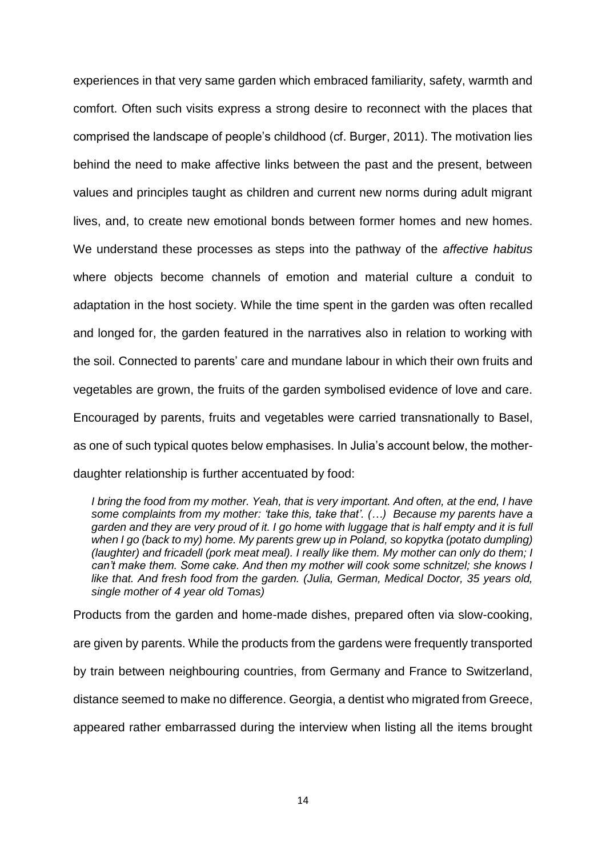experiences in that very same garden which embraced familiarity, safety, warmth and comfort. Often such visits express a strong desire to reconnect with the places that comprised the landscape of people's childhood (cf. Burger, 2011). The motivation lies behind the need to make affective links between the past and the present, between values and principles taught as children and current new norms during adult migrant lives, and, to create new emotional bonds between former homes and new homes. We understand these processes as steps into the pathway of the *affective habitus* where objects become channels of emotion and material culture a conduit to adaptation in the host society. While the time spent in the garden was often recalled and longed for, the garden featured in the narratives also in relation to working with the soil. Connected to parents' care and mundane labour in which their own fruits and vegetables are grown, the fruits of the garden symbolised evidence of love and care. Encouraged by parents, fruits and vegetables were carried transnationally to Basel, as one of such typical quotes below emphasises. In Julia's account below, the motherdaughter relationship is further accentuated by food:

*I bring the food from my mother. Yeah, that is very important. And often, at the end, I have some complaints from my mother: 'take this, take that'. (…) Because my parents have a garden and they are very proud of it. I go home with luggage that is half empty and it is full when I go (back to my) home. My parents grew up in Poland, so kopytka (potato dumpling) (laughter) and fricadell (pork meat meal). I really like them. My mother can only do them; I can't make them. Some cake. And then my mother will cook some schnitzel; she knows I like that. And fresh food from the garden. (Julia, German, Medical Doctor, 35 years old, single mother of 4 year old Tomas)* 

Products from the garden and home-made dishes, prepared often via slow-cooking, are given by parents. While the products from the gardens were frequently transported by train between neighbouring countries, from Germany and France to Switzerland, distance seemed to make no difference. Georgia, a dentist who migrated from Greece, appeared rather embarrassed during the interview when listing all the items brought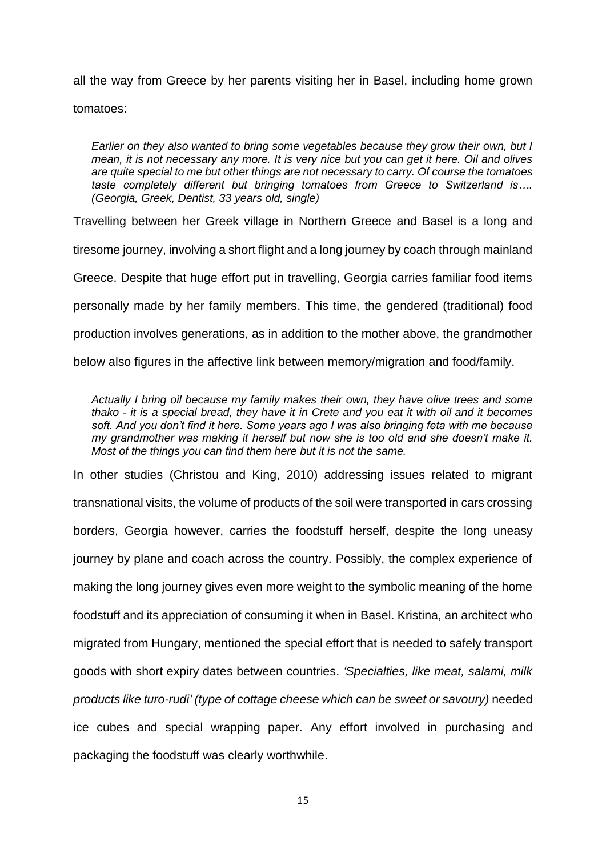all the way from Greece by her parents visiting her in Basel, including home grown tomatoes:

*Earlier on they also wanted to bring some vegetables because they grow their own, but I mean, it is not necessary any more. It is very nice but you can get it here. Oil and olives are quite special to me but other things are not necessary to carry. Of course the tomatoes taste completely different but bringing tomatoes from Greece to Switzerland is…. (Georgia, Greek, Dentist, 33 years old, single)* 

Travelling between her Greek village in Northern Greece and Basel is a long and

tiresome journey, involving a short flight and a long journey by coach through mainland

Greece. Despite that huge effort put in travelling, Georgia carries familiar food items

personally made by her family members. This time, the gendered (traditional) food

production involves generations, as in addition to the mother above, the grandmother

below also figures in the affective link between memory/migration and food/family.

*Actually I bring oil because my family makes their own, they have olive trees and some thako - it is a special bread, they have it in Crete and you eat it with oil and it becomes soft. And you don't find it here. Some years ago I was also bringing feta with me because my grandmother was making it herself but now she is too old and she doesn't make it. Most of the things you can find them here but it is not the same.* 

In other studies (Christou and King, 2010) addressing issues related to migrant transnational visits, the volume of products of the soil were transported in cars crossing borders, Georgia however, carries the foodstuff herself, despite the long uneasy journey by plane and coach across the country. Possibly, the complex experience of making the long journey gives even more weight to the symbolic meaning of the home foodstuff and its appreciation of consuming it when in Basel. Kristina, an architect who migrated from Hungary, mentioned the special effort that is needed to safely transport goods with short expiry dates between countries. *'Specialties, like meat, salami, milk products like turo-rudi' (type of cottage cheese which can be sweet or savoury)* needed ice cubes and special wrapping paper. Any effort involved in purchasing and packaging the foodstuff was clearly worthwhile.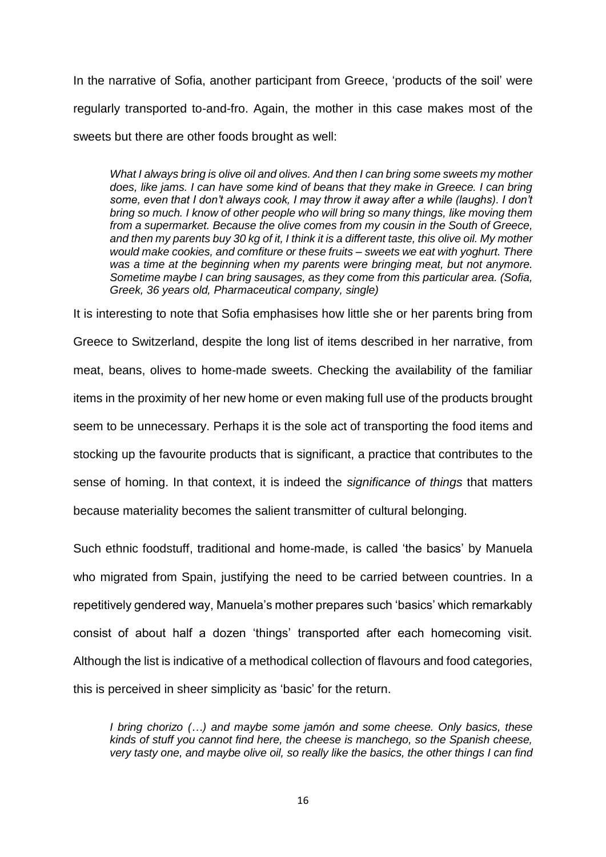In the narrative of Sofia, another participant from Greece, 'products of the soil' were regularly transported to-and-fro. Again, the mother in this case makes most of the sweets but there are other foods brought as well:

*What I always bring is olive oil and olives. And then I can bring some sweets my mother*  does, like jams. I can have some kind of beans that they make in Greece. I can bring *some, even that I don't always cook, I may throw it away after a while (laughs). I don't bring so much. I know of other people who will bring so many things, like moving them from a supermarket. Because the olive comes from my cousin in the South of Greece, and then my parents buy 30 kg of it, I think it is a different taste, this olive oil. My mother would make cookies, and comfiture or these fruits – sweets we eat with yoghurt. There was a time at the beginning when my parents were bringing meat, but not anymore. Sometime maybe I can bring sausages, as they come from this particular area. (Sofia, Greek, 36 years old, Pharmaceutical company, single)* 

It is interesting to note that Sofia emphasises how little she or her parents bring from Greece to Switzerland, despite the long list of items described in her narrative, from meat, beans, olives to home-made sweets. Checking the availability of the familiar items in the proximity of her new home or even making full use of the products brought seem to be unnecessary. Perhaps it is the sole act of transporting the food items and stocking up the favourite products that is significant, a practice that contributes to the sense of homing. In that context, it is indeed the *significance of things* that matters because materiality becomes the salient transmitter of cultural belonging.

Such ethnic foodstuff, traditional and home-made, is called 'the basics' by Manuela who migrated from Spain, justifying the need to be carried between countries. In a repetitively gendered way, Manuela's mother prepares such 'basics' which remarkably consist of about half a dozen 'things' transported after each homecoming visit. Although the list is indicative of a methodical collection of flavours and food categories, this is perceived in sheer simplicity as 'basic' for the return.

*I bring chorizo (…) and maybe some jamón and some cheese. Only basics, these kinds of stuff you cannot find here, the cheese is manchego, so the Spanish cheese, very tasty one, and maybe olive oil, so really like the basics, the other things I can find*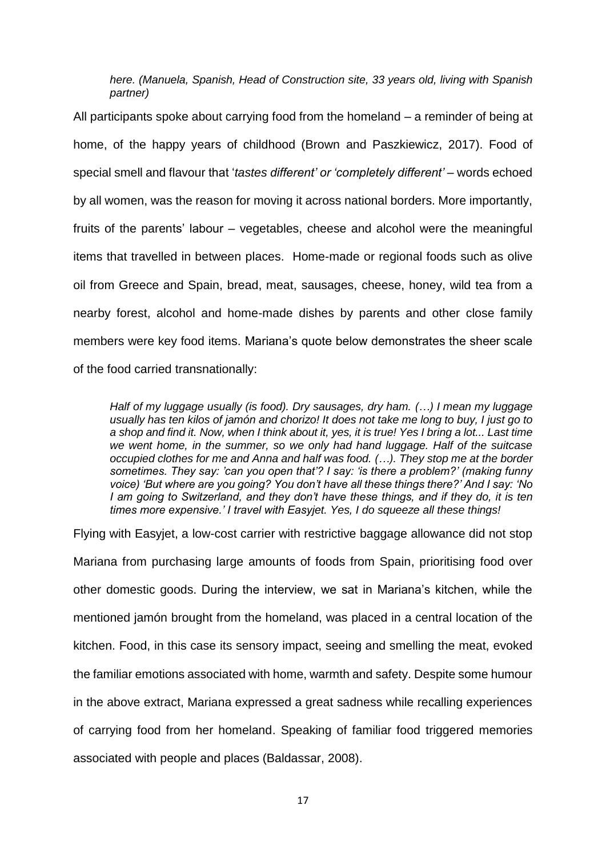*here. (Manuela, Spanish, Head of Construction site, 33 years old, living with Spanish partner)*

All participants spoke about carrying food from the homeland – a reminder of being at home, of the happy years of childhood (Brown and Paszkiewicz, 2017). Food of special smell and flavour that '*tastes different' or 'completely different'* – words echoed by all women, was the reason for moving it across national borders. More importantly, fruits of the parents' labour – vegetables, cheese and alcohol were the meaningful items that travelled in between places. Home-made or regional foods such as olive oil from Greece and Spain, bread, meat, sausages, cheese, honey, wild tea from a nearby forest, alcohol and home-made dishes by parents and other close family members were key food items. Mariana's quote below demonstrates the sheer scale of the food carried transnationally:

*Half of my luggage usually (is food). Dry sausages, dry ham. (…) I mean my luggage usually has ten kilos of jamón and chorizo! It does not take me long to buy, I just go to a shop and find it. Now, when I think about it, yes, it is true! Yes I bring a lot... Last time we went home, in the summer, so we only had hand luggage. Half of the suitcase occupied clothes for me and Anna and half was food. (…). They stop me at the border sometimes. They say: 'can you open that'? I say: 'is there a problem?' (making funny voice) 'But where are you going? You don't have all these things there?' And I say: 'No I am going to Switzerland, and they don't have these things, and if they do, it is ten times more expensive.' I travel with Easyjet. Yes, I do squeeze all these things!*

Flying with Easyjet, a low-cost carrier with restrictive baggage allowance did not stop Mariana from purchasing large amounts of foods from Spain, prioritising food over other domestic goods. During the interview, we sat in Mariana's kitchen, while the mentioned jamón brought from the homeland, was placed in a central location of the kitchen. Food, in this case its sensory impact, seeing and smelling the meat, evoked the familiar emotions associated with home, warmth and safety. Despite some humour in the above extract, Mariana expressed a great sadness while recalling experiences of carrying food from her homeland. Speaking of familiar food triggered memories associated with people and places (Baldassar, 2008).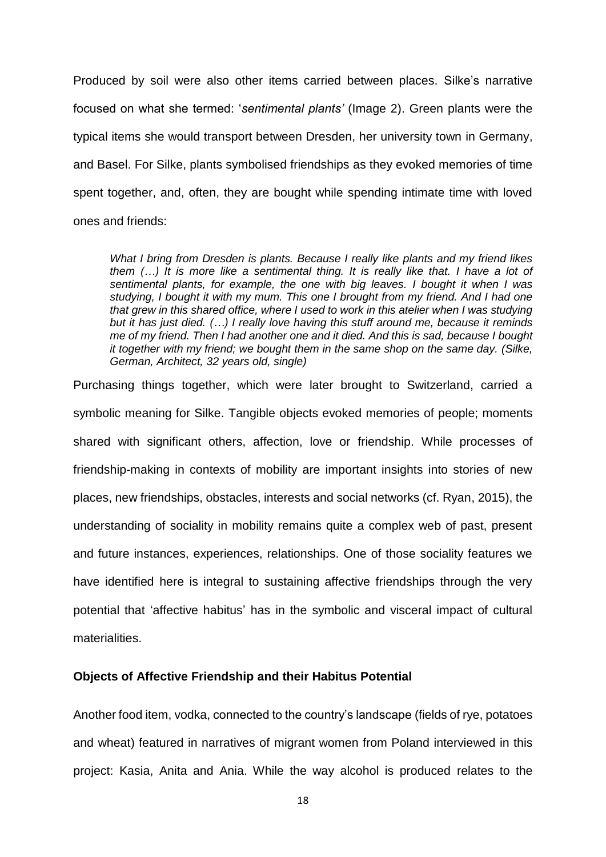Produced by soil were also other items carried between places. Silke's narrative focused on what she termed: '*sentimental plants'* (Image 2). Green plants were the typical items she would transport between Dresden, her university town in Germany, and Basel. For Silke, plants symbolised friendships as they evoked memories of time spent together, and, often, they are bought while spending intimate time with loved ones and friends:

*What I bring from Dresden is plants. Because I really like plants and my friend likes them (…) It is more like a sentimental thing. It is really like that. I have a lot of sentimental plants, for example, the one with big leaves. I bought it when I was studying, I bought it with my mum. This one I brought from my friend. And I had one that grew in this shared office, where I used to work in this atelier when I was studying but it has just died. (…) I really love having this stuff around me, because it reminds me of my friend. Then I had another one and it died. And this is sad, because I bought it together with my friend; we bought them in the same shop on the same day. (Silke, German, Architect, 32 years old, single)*

Purchasing things together, which were later brought to Switzerland, carried a symbolic meaning for Silke. Tangible objects evoked memories of people; moments shared with significant others, affection, love or friendship. While processes of friendship-making in contexts of mobility are important insights into stories of new places, new friendships, obstacles, interests and social networks (cf. Ryan, 2015), the understanding of sociality in mobility remains quite a complex web of past, present and future instances, experiences, relationships. One of those sociality features we have identified here is integral to sustaining affective friendships through the very potential that 'affective habitus' has in the symbolic and visceral impact of cultural materialities.

### **Objects of Affective Friendship and their Habitus Potential**

Another food item, vodka, connected to the country's landscape (fields of rye, potatoes and wheat) featured in narratives of migrant women from Poland interviewed in this project: Kasia, Anita and Ania. While the way alcohol is produced relates to the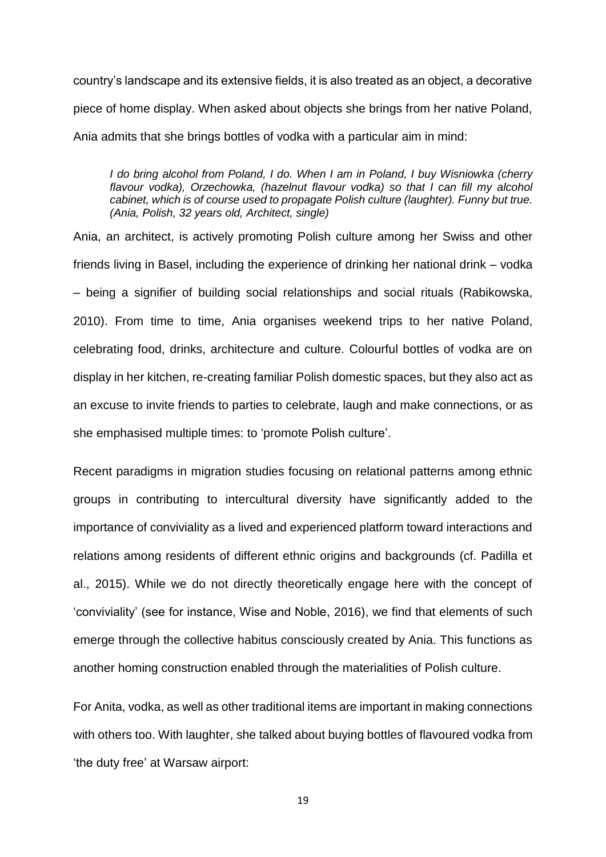country's landscape and its extensive fields, it is also treated as an object, a decorative piece of home display. When asked about objects she brings from her native Poland, Ania admits that she brings bottles of vodka with a particular aim in mind:

*I do bring alcohol from Poland, I do. When I am in Poland, I buy Wisniowka (cherry flavour vodka), Orzechowka, (hazelnut flavour vodka) so that I can fill my alcohol cabinet, which is of course used to propagate Polish culture (laughter). Funny but true. (Ania, Polish, 32 years old, Architect, single)*

Ania, an architect, is actively promoting Polish culture among her Swiss and other friends living in Basel, including the experience of drinking her national drink – vodka – being a signifier of building social relationships and social rituals (Rabikowska, 2010). From time to time, Ania organises weekend trips to her native Poland, celebrating food, drinks, architecture and culture. Colourful bottles of vodka are on display in her kitchen, re-creating familiar Polish domestic spaces, but they also act as an excuse to invite friends to parties to celebrate, laugh and make connections, or as she emphasised multiple times: to 'promote Polish culture'.

Recent paradigms in migration studies focusing on relational patterns among ethnic groups in contributing to intercultural diversity have significantly added to the importance of conviviality as a lived and experienced platform toward interactions and relations among residents of different ethnic origins and backgrounds (cf. Padilla et al., 2015). While we do not directly theoretically engage here with the concept of 'conviviality' (see for instance, Wise and Noble, 2016), we find that elements of such emerge through the collective habitus consciously created by Ania. This functions as another homing construction enabled through the materialities of Polish culture.

For Anita, vodka, as well as other traditional items are important in making connections with others too. With laughter, she talked about buying bottles of flavoured vodka from 'the duty free' at Warsaw airport: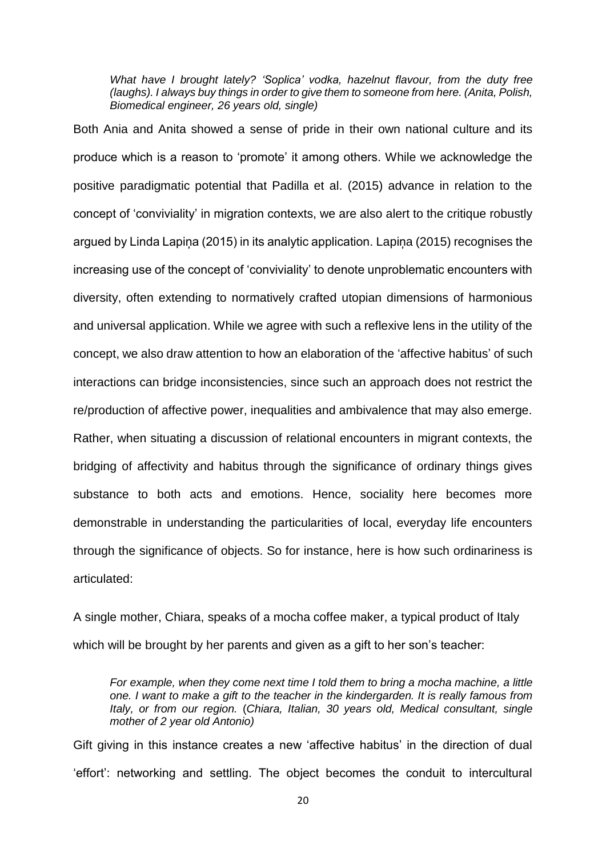*What have I brought lately? 'Soplica' vodka, hazelnut flavour, from the duty free (laughs). I always buy things in order to give them to someone from here. (Anita, Polish, Biomedical engineer, 26 years old, single)*

Both Ania and Anita showed a sense of pride in their own national culture and its produce which is a reason to 'promote' it among others. While we acknowledge the positive paradigmatic potential that Padilla et al. (2015) advance in relation to the concept of 'conviviality' in migration contexts, we are also alert to the critique robustly argued by Linda Lapina (2015) in its analytic application. Lapina (2015) recognises the increasing use of the concept of 'conviviality' to denote unproblematic encounters with diversity, often extending to normatively crafted utopian dimensions of harmonious and universal application. While we agree with such a reflexive lens in the utility of the concept, we also draw attention to how an elaboration of the 'affective habitus' of such interactions can bridge inconsistencies, since such an approach does not restrict the re/production of affective power, inequalities and ambivalence that may also emerge. Rather, when situating a discussion of relational encounters in migrant contexts, the bridging of affectivity and habitus through the significance of ordinary things gives substance to both acts and emotions. Hence, sociality here becomes more demonstrable in understanding the particularities of local, everyday life encounters through the significance of objects. So for instance, here is how such ordinariness is articulated:

A single mother, Chiara, speaks of a mocha coffee maker, a typical product of Italy which will be brought by her parents and given as a gift to her son's teacher:

*For example, when they come next time I told them to bring a mocha machine, a little one. I want to make a gift to the teacher in the kindergarden. It is really famous from Italy, or from our region.* (*Chiara, Italian, 30 years old, Medical consultant, single mother of 2 year old Antonio)* 

Gift giving in this instance creates a new 'affective habitus' in the direction of dual 'effort': networking and settling. The object becomes the conduit to intercultural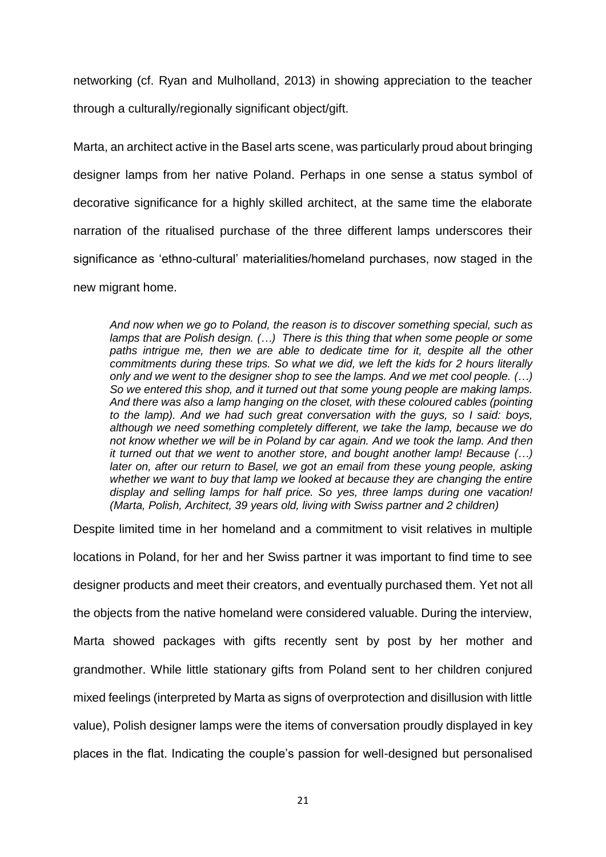networking (cf. Ryan and Mulholland, 2013) in showing appreciation to the teacher through a culturally/regionally significant object/gift.

Marta, an architect active in the Basel arts scene, was particularly proud about bringing designer lamps from her native Poland. Perhaps in one sense a status symbol of decorative significance for a highly skilled architect, at the same time the elaborate narration of the ritualised purchase of the three different lamps underscores their significance as 'ethno-cultural' materialities/homeland purchases, now staged in the new migrant home.

*And now when we go to Poland, the reason is to discover something special, such as lamps that are Polish design. (…) There is this thing that when some people or some paths intrigue me, then we are able to dedicate time for it, despite all the other commitments during these trips. So what we did, we left the kids for 2 hours literally only and we went to the designer shop to see the lamps. And we met cool people. (…) So we entered this shop, and it turned out that some young people are making lamps. And there was also a lamp hanging on the closet, with these coloured cables (pointing to the lamp). And we had such great conversation with the guys, so I said: boys, although we need something completely different, we take the lamp, because we do not know whether we will be in Poland by car again. And we took the lamp. And then it turned out that we went to another store, and bought another lamp! Because (…) later on, after our return to Basel, we got an email from these young people, asking whether we want to buy that lamp we looked at because they are changing the entire display and selling lamps for half price. So yes, three lamps during one vacation! (Marta, Polish, Architect, 39 years old, living with Swiss partner and 2 children)*

Despite limited time in her homeland and a commitment to visit relatives in multiple locations in Poland, for her and her Swiss partner it was important to find time to see designer products and meet their creators, and eventually purchased them. Yet not all the objects from the native homeland were considered valuable. During the interview, Marta showed packages with gifts recently sent by post by her mother and grandmother. While little stationary gifts from Poland sent to her children conjured mixed feelings (interpreted by Marta as signs of overprotection and disillusion with little value), Polish designer lamps were the items of conversation proudly displayed in key places in the flat. Indicating the couple's passion for well-designed but personalised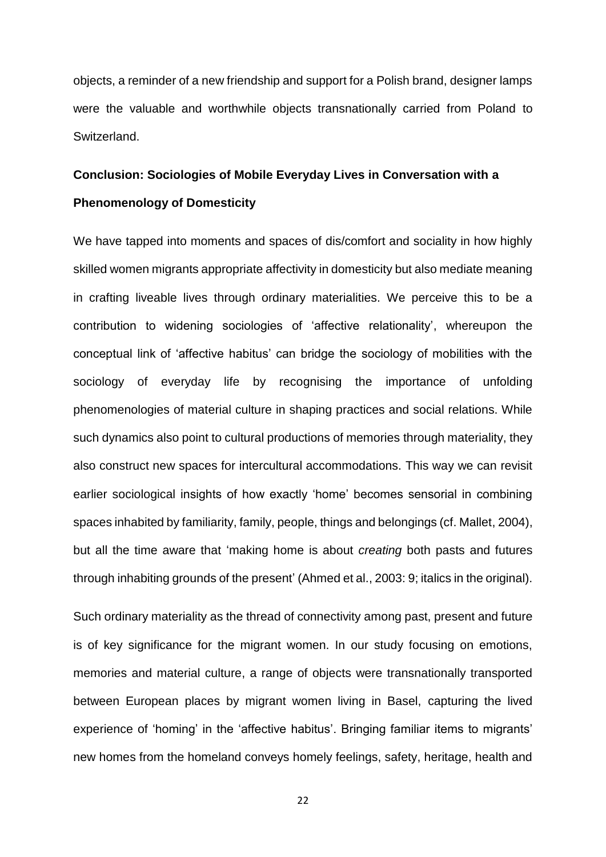objects, a reminder of a new friendship and support for a Polish brand, designer lamps were the valuable and worthwhile objects transnationally carried from Poland to Switzerland.

## **Conclusion: Sociologies of Mobile Everyday Lives in Conversation with a Phenomenology of Domesticity**

We have tapped into moments and spaces of dis/comfort and sociality in how highly skilled women migrants appropriate affectivity in domesticity but also mediate meaning in crafting liveable lives through ordinary materialities. We perceive this to be a contribution to widening sociologies of 'affective relationality', whereupon the conceptual link of 'affective habitus' can bridge the sociology of mobilities with the sociology of everyday life by recognising the importance of unfolding phenomenologies of material culture in shaping practices and social relations. While such dynamics also point to cultural productions of memories through materiality, they also construct new spaces for intercultural accommodations. This way we can revisit earlier sociological insights of how exactly 'home' becomes sensorial in combining spaces inhabited by familiarity, family, people, things and belongings (cf. Mallet, 2004), but all the time aware that 'making home is about *creating* both pasts and futures through inhabiting grounds of the present' (Ahmed et al., 2003: 9; italics in the original).

Such ordinary materiality as the thread of connectivity among past, present and future is of key significance for the migrant women. In our study focusing on emotions, memories and material culture, a range of objects were transnationally transported between European places by migrant women living in Basel, capturing the lived experience of 'homing' in the 'affective habitus'. Bringing familiar items to migrants' new homes from the homeland conveys homely feelings, safety, heritage, health and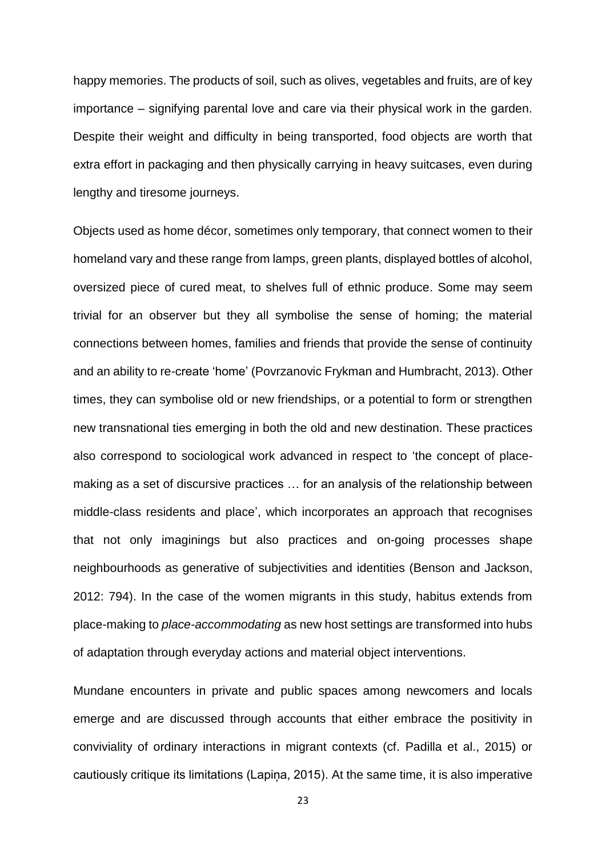happy memories. The products of soil, such as olives, vegetables and fruits, are of key importance – signifying parental love and care via their physical work in the garden. Despite their weight and difficulty in being transported, food objects are worth that extra effort in packaging and then physically carrying in heavy suitcases, even during lengthy and tiresome journeys.

Objects used as home décor, sometimes only temporary, that connect women to their homeland vary and these range from lamps, green plants, displayed bottles of alcohol, oversized piece of cured meat, to shelves full of ethnic produce. Some may seem trivial for an observer but they all symbolise the sense of homing; the material connections between homes, families and friends that provide the sense of continuity and an ability to re-create 'home' (Povrzanovic Frykman and Humbracht, 2013). Other times, they can symbolise old or new friendships, or a potential to form or strengthen new transnational ties emerging in both the old and new destination. These practices also correspond to sociological work advanced in respect to 'the concept of placemaking as a set of discursive practices … for an analysis of the relationship between middle-class residents and place', which incorporates an approach that recognises that not only imaginings but also practices and on-going processes shape neighbourhoods as generative of subjectivities and identities (Benson and Jackson, 2012: 794). In the case of the women migrants in this study, habitus extends from place-making to *place-accommodating* as new host settings are transformed into hubs of adaptation through everyday actions and material object interventions.

Mundane encounters in private and public spaces among newcomers and locals emerge and are discussed through accounts that either embrace the positivity in conviviality of ordinary interactions in migrant contexts (cf. Padilla et al., 2015) or cautiously critique its limitations (Lapiņa, 2015). At the same time, it is also imperative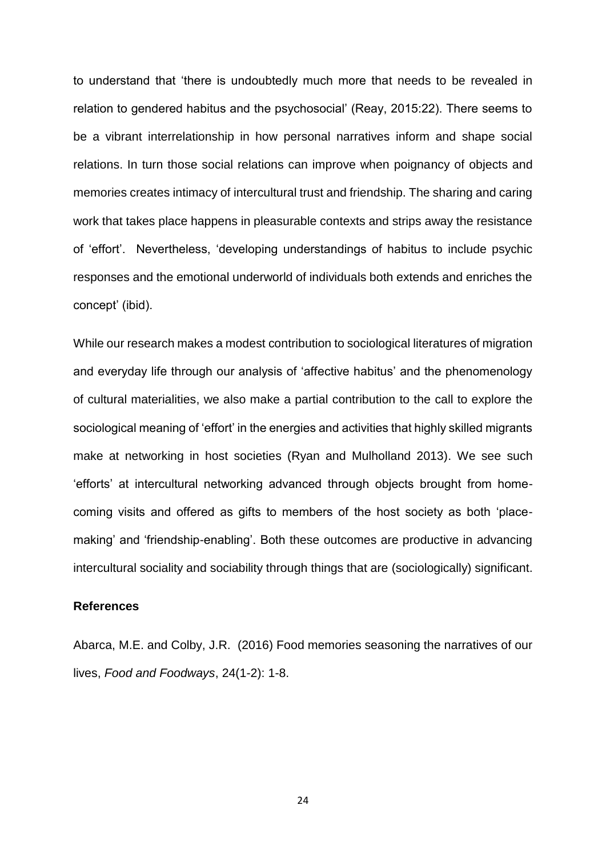to understand that 'there is undoubtedly much more that needs to be revealed in relation to gendered habitus and the psychosocial' (Reay, 2015:22). There seems to be a vibrant interrelationship in how personal narratives inform and shape social relations. In turn those social relations can improve when poignancy of objects and memories creates intimacy of intercultural trust and friendship. The sharing and caring work that takes place happens in pleasurable contexts and strips away the resistance of 'effort'. Nevertheless, 'developing understandings of habitus to include psychic responses and the emotional underworld of individuals both extends and enriches the concept' (ibid).

While our research makes a modest contribution to sociological literatures of migration and everyday life through our analysis of 'affective habitus' and the phenomenology of cultural materialities, we also make a partial contribution to the call to explore the sociological meaning of 'effort' in the energies and activities that highly skilled migrants make at networking in host societies (Ryan and Mulholland 2013). We see such 'efforts' at intercultural networking advanced through objects brought from homecoming visits and offered as gifts to members of the host society as both 'placemaking' and 'friendship-enabling'. Both these outcomes are productive in advancing intercultural sociality and sociability through things that are (sociologically) significant.

### **References**

Abarca, M.E. and Colby, J.R. (2016) Food memories seasoning the narratives of our lives, *Food and Foodways*, 24(1-2): 1-8.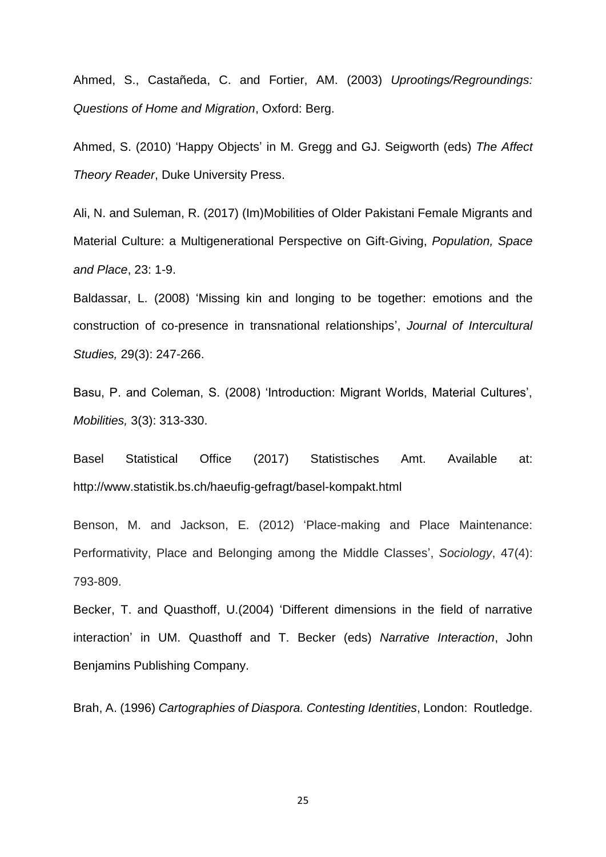Ahmed, S., Castañeda, C. and Fortier, AM. (2003) *Uprootings/Regroundings: Questions of Home and Migration*, Oxford: Berg.

Ahmed, S. (2010) 'Happy Objects' in M. Gregg and GJ. Seigworth (eds) *The Affect Theory Reader*, Duke University Press.

Ali, N. and Suleman, R. (2017) (Im)Mobilities of Older Pakistani Female Migrants and Material Culture: a Multigenerational Perspective on Gift‐Giving, *Population, Space and Place*, 23: 1-9.

Baldassar, L. (2008) 'Missing kin and longing to be together: emotions and the construction of co-presence in transnational relationships', *Journal of Intercultural Studies,* 29(3): 247-266.

Basu, P. and Coleman, S. (2008) 'Introduction: Migrant Worlds, Material Cultures', *Mobilities,* 3(3): 313-330.

Basel Statistical Office (2017) Statistisches Amt. Available at: http://www.statistik.bs.ch/haeufig-gefragt/basel-kompakt.html

Benson, M. and Jackson, E. (2012) 'Place-making and Place Maintenance: Performativity, Place and Belonging among the Middle Classes', *Sociology*, 47(4): 793-809.

Becker, T. and Quasthoff, U.(2004) 'Different dimensions in the field of narrative interaction' in UM. Quasthoff and T. Becker (eds) *Narrative Interaction*, John Benjamins Publishing Company.

Brah, A. (1996) *Cartographies of Diaspora. Contesting Identities*, London: Routledge.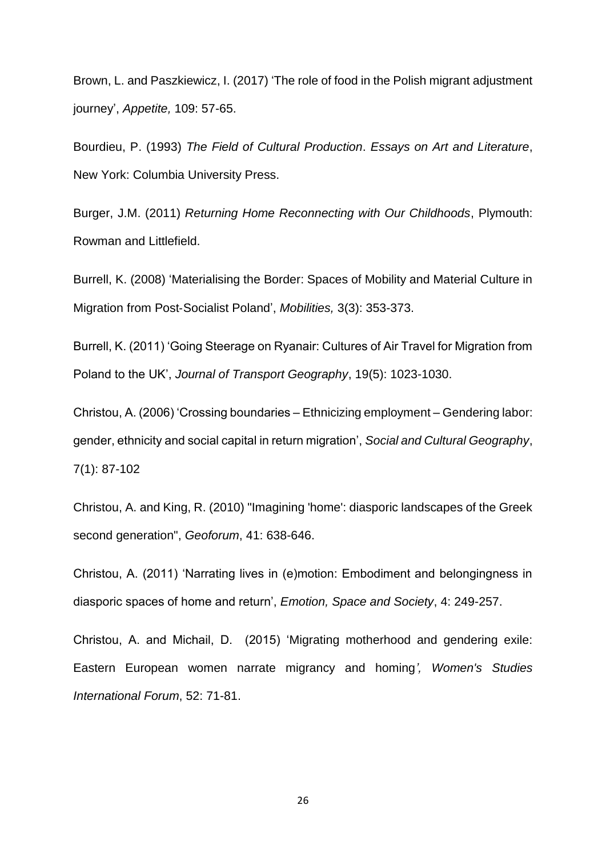Brown, L. and Paszkiewicz, I. (2017) 'The role of food in the Polish migrant adjustment journey', *Appetite,* 109: 57-65.

Bourdieu, P. (1993) *The Field of Cultural Production*. *Essays on Art and Literature*, New York: Columbia University Press.

Burger, J.M. (2011) *Returning Home Reconnecting with Our Childhoods*, Plymouth: Rowman and Littlefield.

Burrell, K. (2008) 'Materialising the Border: Spaces of Mobility and Material Culture in Migration from Post‐Socialist Poland', *Mobilities,* 3(3): 353-373.

Burrell, K. (2011) 'Going Steerage on Ryanair: Cultures of Air Travel for Migration from Poland to the UK', *Journal of Transport Geography*, 19(5): 1023-1030.

Christou, A. (2006) 'Crossing boundaries – Ethnicizing employment – Gendering labor: gender, ethnicity and social capital in return migration', *Social and Cultural Geography*, 7(1): 87-102

Christou, A. and King, R. (2010) "Imagining 'home': diasporic landscapes of the Greek second generation", *Geoforum*, 41: 638-646.

Christou, A. (2011) 'Narrating lives in (e)motion: Embodiment and belongingness in diasporic spaces of home and return', *Emotion, Space and Society*, 4: 249-257.

Christou, A. and Michail, D. (2015) 'Migrating motherhood and gendering exile: Eastern European women narrate migrancy and homing*', Women's Studies International Forum*, 52: 71-81.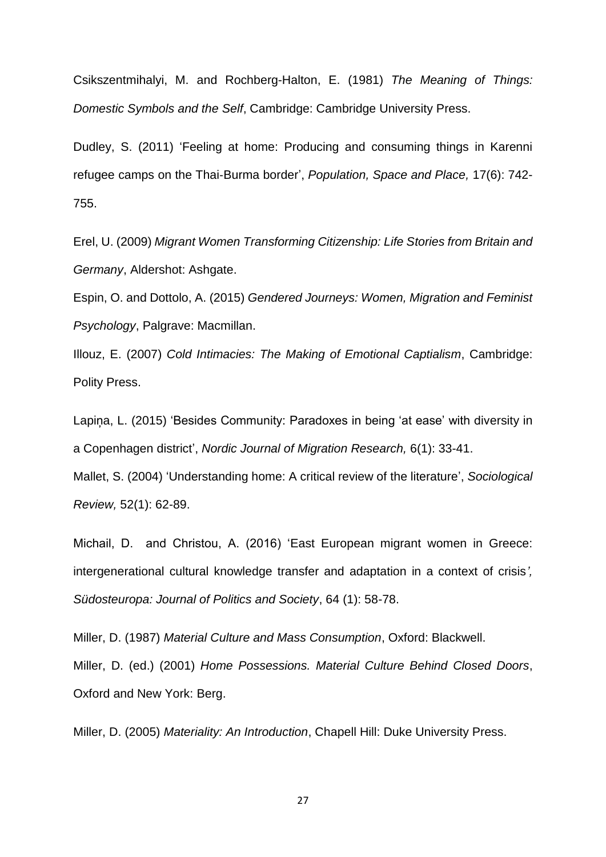Csikszentmihalyi, M. and Rochberg-Halton, E. (1981) *The Meaning of Things: Domestic Symbols and the Self*, Cambridge: Cambridge University Press.

Dudley, S. (2011) 'Feeling at home: Producing and consuming things in Karenni refugee camps on the Thai‐Burma border', *Population, Space and Place,* 17(6): 742- 755.

Erel, U. (2009) *Migrant Women Transforming Citizenship: Life Stories from Britain and Germany*, Aldershot: Ashgate.

Espin, O. and Dottolo, A. (2015) *Gendered Journeys: Women, Migration and Feminist Psychology*, Palgrave: Macmillan.

Illouz, E. (2007) *Cold Intimacies: The Making of Emotional Captialism*, Cambridge: Polity Press.

Lapina, L. (2015) 'Besides Community: Paradoxes in being 'at ease' with diversity in a Copenhagen district', *Nordic Journal of Migration Research,* 6(1): 33-41.

Mallet, S. (2004) 'Understanding home: A critical review of the literature', *Sociological Review,* 52(1): 62-89.

Michail, D. and Christou, A. (2016) 'East European migrant women in Greece: intergenerational cultural knowledge transfer and adaptation in a context of crisis*', Südosteuropa: Journal of Politics and Society*, 64 (1): 58-78.

Miller, D. (1987) *Material Culture and Mass Consumption*, Oxford: Blackwell. Miller, D. (ed.) (2001) *Home Possessions. Material Culture Behind Closed Doors*,

Oxford and New York: Berg.

Miller, D. (2005) *Materiality: An Introduction*, Chapell Hill: Duke University Press.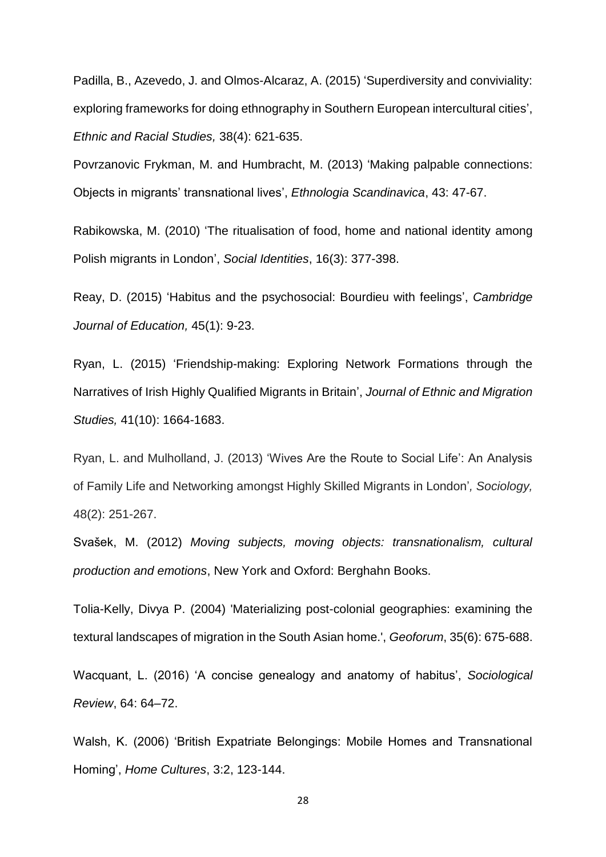Padilla, B., Azevedo, J. and Olmos-Alcaraz, A. (2015) 'Superdiversity and conviviality: exploring frameworks for doing ethnography in Southern European intercultural cities', *Ethnic and Racial Studies,* 38(4): 621-635.

Povrzanovic Frykman, M. and Humbracht, M. (2013) 'Making palpable connections: Objects in migrants' transnational lives', *Ethnologia Scandinavica*, 43: 47-67.

Rabikowska, M. (2010) 'The ritualisation of food, home and national identity among Polish migrants in London', *Social Identities*, 16(3): 377-398.

Reay, D. (2015) 'Habitus and the psychosocial: Bourdieu with feelings', *[Cambridge](http://www.tandfonline.com/toc/ccje20/45/1)  [Journal of Education,](http://www.tandfonline.com/toc/ccje20/45/1)* 45(1): 9-23.

Ryan, L. (2015) 'Friendship-making: Exploring Network Formations through the Narratives of Irish Highly Qualified Migrants in Britain', *Journal of Ethnic and Migration Studies,* 41(10): 1664-1683.

Ryan, L. and Mulholland, J. (2013) 'Wives Are the Route to Social Life': An Analysis of Family Life and Networking amongst Highly Skilled Migrants in London'*, Sociology,* 48(2): 251-267.

Svašek, M. (2012) *Moving subjects, moving objects: transnationalism, cultural production and emotions*, New York and Oxford: Berghahn Books.

Tolia-Kelly, Divya P. (2004) 'Materializing post-colonial geographies: examining the textural landscapes of migration in the South Asian home.', *Geoforum*, 35(6): 675-688.

Wacquant, L. (2016) 'A concise genealogy and anatomy of habitus', *Sociological Review*, 64: 64–72.

Walsh, K. (2006) 'British Expatriate Belongings: Mobile Homes and Transnational Homing', *Home Cultures*, 3:2, 123-144.